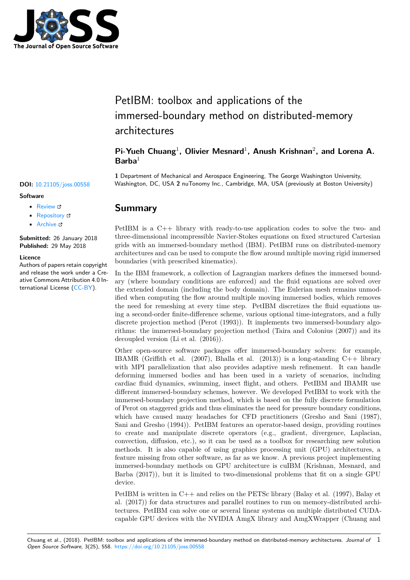

# PetIBM: toolbox and applications of the immersed-boundary method on distributed-memory architectures

## Pi-Yueh Chuang<sup>1</sup>, Olivier Mesnard<sup>1</sup>, Anush Krishnan<sup>2</sup>, and Lorena A. **Barba**<sup>1</sup>

**1** Department of Mechanical and Aerospace Engineering, The George Washington University, **DOI:** 10.21105/joss.00558 Washington, DC, USA **2** nuTonomy Inc., Cambridge, MA, USA (previously at Boston University)

### **Summary**

• Review &

- [Repository](https://doi.org/10.21105/joss.00558) &
- Archive

**Subm[itted:](https://github.com/openjournals/joss-reviews/issues/558)** 26 January 2018 **Published:** [29 M](https://github.com/barbagroup/PetIBM)ay 2018

#### **Licen[ce](http://dx.doi.org/10.5281/zenodo.1255132)**

**Software**

Authors of papers retain copyright and release the work under a Creative Commons Attribution 4.0 International License (CC-BY).

PetIBM is a C++ library with ready-to-use application codes to solve the two- and three-dimensional incompressible Navier-Stokes equations on fixed structured Cartesian grids with an immersed-boundary method (IBM). PetIBM runs on distributed-memory architectures and can be used to compute the flow around multiple moving rigid immersed boundaries (with prescribed kinematics).

In the IBM framework, a collection of Lagrangian markers defines the immersed boundary (where boundary conditions are enforced) and the fluid equations are solved over the extended domain (including the body domain). The Eulerian mesh remains unmodified when computing the flow around multiple moving immersed bodies, which removes the need for remeshing at every time step. PetIBM discretizes the fluid equations using a second-order finite-difference scheme, various optional time-integrators, and a fully discrete projection method (Perot (1993)). It implements two immersed-boundary algorithms: the immersed-boundary projection method (Taira and Colonius (2007)) and its decoupled version (Li et al. (2016)).

Other open-source software packages offer immersed-boundary solvers: for example, IBAMR (Griffith et al.  $(2007)$ , Bhalla et al.  $(2013)$ ) is a long-standing C++ library with MPI parallelization that also provides adaptive mesh refinement. It can handle deforming immersed bodies and has been used in a variety of scenarios, including cardiac fluid dynamics, swimming, insect flight, and others. PetIBM and IBAMR use different immersed-boundary schemes, however. We developed PetIBM to work with the immersed-boundary projection method, which is based on the fully discrete formulation of Perot on staggered grids and thus eliminates the need for pressure boundary conditions, which have caused many headaches for CFD practitioners (Gresho and Sani (1987), Sani and Gresho (1994)). PetIBM features an operator-based design, providing routines to create and manipulate discrete operators (e.g., gradient, divergence, Laplacian, convection, diffusion, etc.), so it can be used as a toolbox for researching new solution methods. It is also capable of using graphics processing unit (GPU) architectures, a feature missing from other software, as far as we know. A previous project implementing immersed-boundary methods on GPU architecture is cuIBM (Krishnan, Mesnard, and Barba (2017)), but it is limited to two-dimensional problems that fit on a single GPU device.

PetIBM is written in C++ and relies on the PETSc library (Balay et al. (1997), Balay et al. (2017)) for data structures and parallel routines to run on memory-distributed architectures. PetIBM can solve one or several linear systems on multiple distributed CUDAcapable GPU devices with the NVIDIA AmgX library and AmgXWrapper (Chuang and

Chuang et al., (2018). PetIBM: toolbox and applications of the immersed-boundary method on distributed-memory architectures. *Journal of* 1*Open Source Software*, 3(25), 558. https://doi.org/10.21105/joss.00558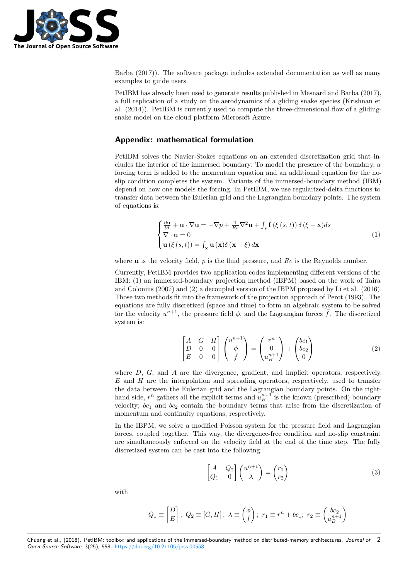

Barba (2017)). The software package includes extended documentation as well as many examples to guide users.

PetIBM has already been used to generate results published in Mesnard and Barba (2017), a full replication of a study on the aerodynamics of a gliding snake species (Krishnan et al. (2014)). PetIBM is currently used to compute the three-dimensional flow of a glidingsnake model on the cloud platform Microsoft Azure.

### **Appendix: mathematical formulation**

PetIBM solves the Navier-Stokes equations on an extended discretization grid that includes the interior of the immersed boundary. To model the presence of the boundary, a forcing term is added to the momentum equation and an additional equation for the noslip condition completes the system. Variants of the immersed-boundary method (IBM) depend on how one models the forcing. In PetIBM, we use regularized-delta functions to transfer data between the Eulerian grid and the Lagrangian boundary points. The system of equations is:

$$
\begin{cases} \frac{\partial \mathbf{u}}{\partial t} + \mathbf{u} \cdot \nabla \mathbf{u} = -\nabla p + \frac{1}{Re} \nabla^2 \mathbf{u} + \int_s \mathbf{f}(\xi(s, t)) \, \delta(\xi - \mathbf{x}) ds \\ \nabla \cdot \mathbf{u} = 0 \\ \mathbf{u}(\xi(s, t)) = \int_{\mathbf{x}} \mathbf{u}(\mathbf{x}) \delta(\mathbf{x} - \xi) \, d\mathbf{x} \end{cases} \tag{1}
$$

where **u** is the velocity field, *p* is the fluid pressure, and *Re* is the Reynolds number.

Currently, PetIBM provides two application codes implementing different versions of the IBM: (1) an immersed-boundary projection method (IBPM) based on the work of Taira and Colonius (2007) and (2) a decoupled version of the IBPM proposed by Li et al. (2016). Those two methods fit into the framework of the projection approach of Perot (1993). The equations are fully discretized (space and time) to form an algebraic system to be solved for the velocity  $u^{n+1}$ , the pressure field  $\phi$ , and the Lagrangian forces  $\tilde{f}$ . The discretized system is:

$$
\begin{bmatrix} A & G & H \\ D & 0 & 0 \\ E & 0 & 0 \end{bmatrix} \begin{pmatrix} u^{n+1} \\ \phi \\ \tilde{f} \end{pmatrix} = \begin{pmatrix} r^n \\ 0 \\ u_B^{n+1} \end{pmatrix} + \begin{pmatrix} bc_1 \\ bc_2 \\ 0 \end{pmatrix}
$$
 (2)

where *D*, *G*, and *A* are the divergence, gradient, and implicit operators, respectively. *E* and *H* are the interpolation and spreading operators, respectively, used to transfer the data between the Eulerian grid and the Lagrangian boundary points. On the righthand side,  $r^n$  gathers all the explicit terms and  $u_B^{n+1}$  is the known (prescribed) boundary velocity;  $bc_1$  and  $bc_2$  contain the boundary terms that arise from the discretization of momentum and continuity equations, respectively.

In the IBPM, we solve a modified Poisson system for the pressure field and Lagrangian forces, coupled together. This way, the divergence-free condition and no-slip constraint are simultaneously enforced on the velocity field at the end of the time step. The fully discretized system can be cast into the following:

$$
\begin{bmatrix} A & Q_2 \\ Q_1 & 0 \end{bmatrix} \begin{pmatrix} u^{n+1} \\ \lambda \end{pmatrix} = \begin{pmatrix} r_1 \\ r_2 \end{pmatrix}
$$
 (3)

with

$$
Q_1 \equiv \begin{bmatrix} D \\ E \end{bmatrix};\ Q_2 \equiv [G,H]\,;\ \lambda \equiv \begin{pmatrix} \phi \\ \tilde{f} \end{pmatrix};\ r_1 \equiv r^n + bc_1;\ r_2 \equiv \begin{pmatrix} bc_2 \\ u_B^{n+1} \end{pmatrix}
$$

Chuang et al., (2018). PetIBM: toolbox and applications of the immersed-boundary method on distributed-memory architectures. *Journal of Open Source Software*, 3(25), 558. https://doi.org/10.21105/joss.00558 2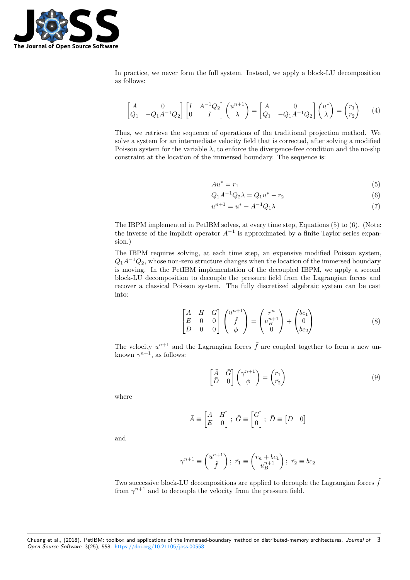

In practice, we never form the full system. Instead, we apply a block-LU decomposition as follows:

$$
\begin{bmatrix} A & 0 \ Q_1 & -Q_1 A^{-1} Q_2 \end{bmatrix} \begin{bmatrix} I & A^{-1} Q_2 \end{bmatrix} \begin{pmatrix} u^{n+1} \ \lambda \end{pmatrix} = \begin{bmatrix} A & 0 \ Q_1 & -Q_1 A^{-1} Q_2 \end{bmatrix} \begin{pmatrix} u^* \ \lambda \end{pmatrix} = \begin{pmatrix} r_1 \ r_2 \end{pmatrix} \tag{4}
$$

Thus, we retrieve the sequence of operations of the traditional projection method. We solve a system for an intermediate velocity field that is corrected, after solving a modified Poisson system for the variable  $\lambda$ , to enforce the divergence-free condition and the no-slip constraint at the location of the immersed boundary. The sequence is:

$$
Au^* = r_1 \tag{5}
$$

$$
Q_1 A^{-1} Q_2 \lambda = Q_1 u^* - r_2 \tag{6}
$$

$$
u^{n+1} = u^* - A^{-1}Q_1\lambda
$$
\n(7)

The IBPM implemented in PetIBM solves, at every time step, Equations (5) to (6). (Note: the inverse of the implicit operator  $A^{-1}$  is approximated by a finite Taylor series expansion.)

The IBPM requires solving, at each time step, an expensive modified Poisson system, *Q*1*A−*<sup>1</sup>*Q*2, whose non-zero structure changes when the location of the immersed boundary is moving. In the PetIBM implementation of the decoupled IBPM, we apply a second block-LU decomposition to decouple the pressure field from the Lagrangian forces and recover a classical Poisson system. The fully discretized algebraic system can be cast into:

$$
\begin{bmatrix} A & H & G \\ E & 0 & 0 \\ D & 0 & 0 \end{bmatrix} \begin{pmatrix} u^{n+1} \\ \tilde{f} \\ \phi \end{pmatrix} = \begin{pmatrix} r^n \\ u_B^{n+1} \\ 0 \end{pmatrix} + \begin{pmatrix} bc_1 \\ 0 \\ bc_2 \end{pmatrix}
$$
 (8)

The velocity  $u^{n+1}$  and the Lagrangian forces  $\tilde{f}$  are coupled together to form a new unknown  $\gamma^{n+1}$ , as follows:

$$
\begin{bmatrix} \bar{A} & \bar{G} \\ \bar{D} & 0 \end{bmatrix} \begin{pmatrix} \gamma^{n+1} \\ \phi \end{pmatrix} = \begin{pmatrix} \bar{r_1} \\ \bar{r_2} \end{pmatrix}
$$
\n(9)

where

$$
\bar{A} \equiv \begin{bmatrix} A & H \\ E & 0 \end{bmatrix}; \ \bar{G} \equiv \begin{bmatrix} G \\ 0 \end{bmatrix}; \ \bar{D} \equiv \begin{bmatrix} D & 0 \end{bmatrix}
$$

and

$$
\gamma^{n+1} \equiv \begin{pmatrix} u^{n+1} \\ \tilde{f} \end{pmatrix}; \ \bar{r_1} \equiv \begin{pmatrix} r_n + bc_1 \\ u_B^{n+1} \end{pmatrix}; \ \bar{r_2} \equiv bc_2
$$

Two successive block-LU decompositions are applied to decouple the Lagrangian forces  $\tilde{f}$ from  $\gamma^{n+1}$  and to decouple the velocity from the pressure field.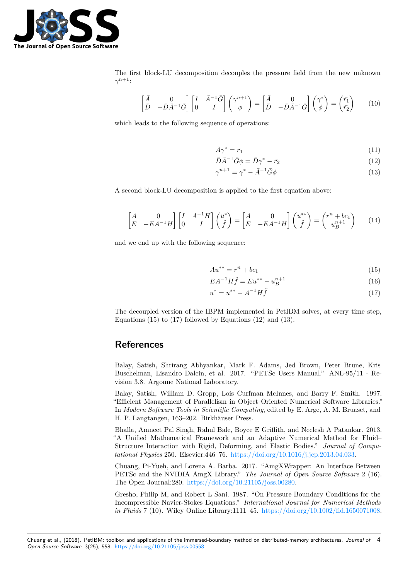

The first block-LU decomposition decouples the pressure field from the new unknown *γ <sup>n</sup>*+1:

$$
\begin{bmatrix} \bar{A} & 0\\ \bar{D} & -\bar{D}\bar{A}^{-1}\bar{G} \end{bmatrix} \begin{bmatrix} I & \bar{A}^{-1}\bar{G} \\ 0 & I \end{bmatrix} \begin{pmatrix} \gamma^{n+1} \\ \phi \end{pmatrix} = \begin{bmatrix} \bar{A} & 0\\ \bar{D} & -\bar{D}\bar{A}^{-1}\bar{G} \end{bmatrix} \begin{pmatrix} \gamma^* \\ \phi \end{pmatrix} = \begin{pmatrix} \bar{r_1} \\ \bar{r_2} \end{pmatrix} \tag{10}
$$

which leads to the following sequence of operations:

$$
\bar{A}\gamma^* = \bar{r_1} \tag{11}
$$

$$
\bar{D}\bar{A}^{-1}\bar{G}\phi = \bar{D}\gamma^* - \bar{r_2}
$$
\n(12)

$$
\gamma^{n+1} = \gamma^* - \bar{A}^{-1} \bar{G} \phi \tag{13}
$$

A second block-LU decomposition is applied to the first equation above:

$$
\begin{bmatrix} A & 0 \ E & -EA^{-1}H \end{bmatrix} \begin{bmatrix} I & A^{-1}H \ 0 & I \end{bmatrix} \begin{pmatrix} u^* \\ \tilde{f} \end{pmatrix} = \begin{bmatrix} A & 0 \\ E & -EA^{-1}H \end{bmatrix} \begin{pmatrix} u^{**} \\ \tilde{f} \end{pmatrix} = \begin{pmatrix} r^n + bc_1 \\ u_B^{n+1} \end{pmatrix}
$$
 (14)

and we end up with the following sequence:

$$
Au^{**} = r^n + bc_1 \tag{15}
$$

$$
EA^{-1}H\tilde{f} = Eu^{**} - u_B^{n+1}
$$
\n(16)

$$
u^* = u^{**} - A^{-1}H\tilde{f}
$$
\n(17)

The decoupled version of the IBPM implemented in PetIBM solves, at every time step, Equations  $(15)$  to  $(17)$  followed by Equations  $(12)$  and  $(13)$ .

### **References**

Balay, Satish, Shrirang Abhyankar, Mark F. Adams, Jed Brown, Peter Brune, Kris Buschelman, Lisandro Dalcin, et al. 2017. "PETSc Users Manual." ANL-95/11 - Revision 3.8. Argonne National Laboratory.

Balay, Satish, William D. Gropp, Lois Curfman McInnes, and Barry F. Smith. 1997. "Efficient Management of Parallelism in Object Oriented Numerical Software Libraries." In *Modern Software Tools in Scientific Computing*, edited by E. Arge, A. M. Bruaset, and H. P. Langtangen, 163–202. Birkhäuser Press.

Bhalla, Amneet Pal Singh, Rahul Bale, Boyce E Griffith, and Neelesh A Patankar. 2013. "A Unified Mathematical Framework and an Adaptive Numerical Method for Fluid– Structure Interaction with Rigid, Deforming, and Elastic Bodies." *Journal of Computational Physics* 250. Elsevier:446–76. https://doi.org/10.1016/j.jcp.2013.04.033.

Chuang, Pi-Yueh, and Lorena A. Barba. 2017. "AmgXWrapper: An Interface Between PETSc and the NVIDIA AmgX Library." *The Journal of Open Source Software* 2 (16). The Open Journal:280. https://doi.org/10.21105/joss.00280.

Gresho, Philip M, and Robert L Sani. [1987. "On Pressure Boundary Condition](https://doi.org/10.1016/j.jcp.2013.04.033)s for the Incompressible Navier-Stokes Equations." *International Journal for Numerical Methods in Fluids* 7 (10). Wiley [Online Library:1111–45.](https://doi.org/10.21105/joss.00280) https://doi.org/10.1002/fld.1650071008.